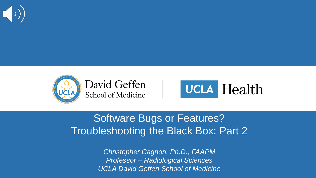





### Software Bugs or Features? Troubleshooting the Black Box: Part 2

*Christopher Cagnon, Ph.D., FAAPM Professor – Radiological Sciences UCLA David Geffen School of Medicine*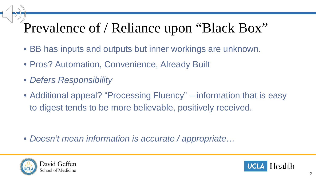## Prevalence of / Reliance upon "Black Box"

- BB has inputs and outputs but inner workings are unknown.
- Pros? Automation, Convenience, Already Built
- *Defers Responsibility*
- Additional appeal? "Processing Fluency" information that is easy to digest tends to be more believable, positively received.

• *Doesn't mean information is accurate / appropriate…*



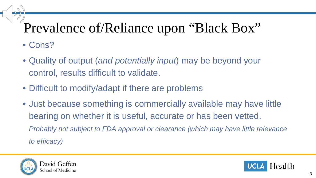# Prevalence of/Reliance upon "Black Box"

- Cons?
- Quality of output (*and potentially input*) may be beyond your control, results difficult to validate.
- Difficult to modify/adapt if there are problems
- Just because something is commercially available may have little bearing on whether it is useful, accurate or has been vetted. *Probably not subject to FDA approval or clearance (which may have little relevance to efficacy)*



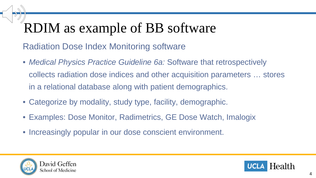# RDIM as example of BB software

Radiation Dose Index Monitoring software

- *Medical Physics Practice Guideline 6a:* Software that retrospectively collects radiation dose indices and other acquisition parameters … stores in a relational database along with patient demographics.
- Categorize by modality, study type, facility, demographic.
- Examples: Dose Monitor, Radimetrics, GE Dose Watch, Imalogix
- Increasingly popular in our dose conscient environment.



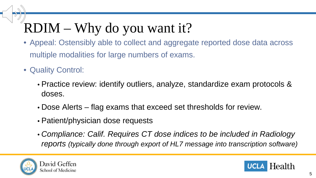# RDIM – Why do you want it?

- Appeal: Ostensibly able to collect and aggregate reported dose data across multiple modalities for large numbers of exams.
- Quality Control:
	- Practice review: identify outliers, analyze, standardize exam protocols & doses.
	- Dose Alerts flag exams that exceed set thresholds for review.
	- Patient/physician dose requests
	- *Compliance: Calif. Requires CT dose indices to be included in Radiology reports (typically done through export of HL7 message into transcription software)*



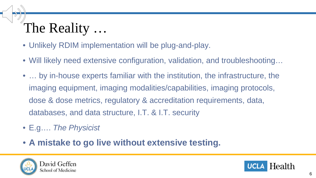# The Reality …

- Unlikely RDIM implementation will be plug-and-play.
- Will likely need extensive configuration, validation, and troubleshooting…
- … by in-house experts familiar with the institution, the infrastructure, the imaging equipment, imaging modalities/capabilities, imaging protocols, dose & dose metrics, regulatory & accreditation requirements, data, databases, and data structure, I.T. & I.T. security
- E.g…. *The Physicist*
- **A mistake to go live without extensive testing.**



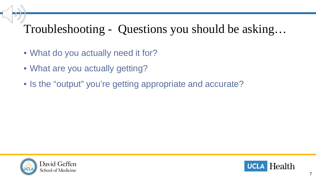### Troubleshooting - Questions you should be asking…

- What do you actually need it for?
- What are you actually getting?
- Is the "output" you're getting appropriate and accurate?



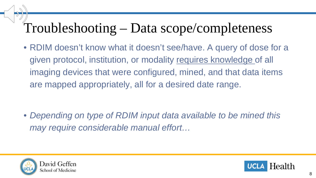### Troubleshooting – Data scope/completeness

• RDIM doesn't know what it doesn't see/have. A query of dose for a given protocol, institution, or modality requires knowledge of all imaging devices that were configured, mined, and that data items are mapped appropriately, all for a desired date range.

• *Depending on type of RDIM input data available to be mined this may require considerable manual effort…*



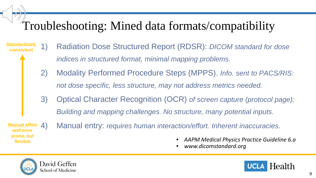### Troubleshooting: Mined data formats/compatibility

- 1) Radiation Dose Structured Report (RDSR): *DICOM standard for dose indices in structured format, minimal mapping problems.* **Standardized, consistent**
	- 2) Modality Performed Procedure Steps (MPPS). *Info. sent to PACS/RIS: not dose specific, less structure, may not address metrics needed.*
	- 3) Optical Character Recognition (OCR) *of screen capture (protocol page): Building and mapping challenges. No structure, many potential inputs.*
- **Manual effort and error prone, but**
- 4) Manual entry: *requires human interaction/effort. Inherent inaccuracies.*
	- **flexible** *AAPM Medical Physics Practice Guideline 6.a* 
		- *www.dicomstandard.org*



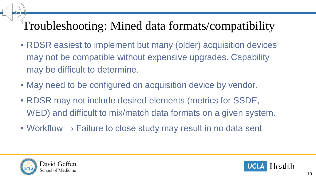### Troubleshooting: Mined data formats/compatibility

- RDSR easiest to implement but many (older) acquisition devices may not be compatible without expensive upgrades. Capability may be difficult to determine.
- May need to be configured on acquisition device by vendor.
- RDSR may not include desired elements (metrics for SSDE, WED) and difficult to mix/match data formats on a given system.
- Workflow  $\rightarrow$  Failure to close study may result in no data sent



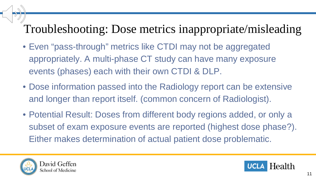### Troubleshooting: Dose metrics inappropriate/misleading

- Even "pass-through" metrics like CTDI may not be aggregated appropriately. A multi-phase CT study can have many exposure events (phases) each with their own CTDI & DLP.
- Dose information passed into the Radiology report can be extensive and longer than report itself. (common concern of Radiologist).
- Potential Result: Doses from different body regions added, or only a subset of exam exposure events are reported (highest dose phase?). Either makes determination of actual patient dose problematic.



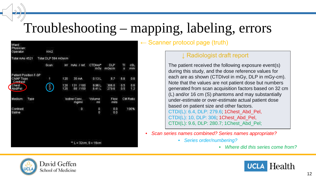### Troubleshooting – mapping, labeling, errors

| Ward:<br>Physician:<br>Operator:    | Km2                 |                       |                      |                     |                     |                 |            |
|-------------------------------------|---------------------|-----------------------|----------------------|---------------------|---------------------|-----------------|------------|
| Total mAs 4521                      | Total DLP 594 mGycm |                       |                      |                     |                     |                 |            |
|                                     | Scan                | W                     | mAs / ref.           | CTDIvol*<br>mGy     | <b>DLP</b><br>mGycm | TI<br>s         | cSL<br>mm  |
| Patient Position F-SP<br>Ch/AP Topo | 1                   | 120                   | 35 mA                | 0.13L               | 8.7                 | 6.6             | 0.6        |
| Contrast                            |                     |                       |                      |                     |                     |                 |            |
| Chest<br>Abd/Pel                    | $\frac{2}{3}$       | 120<br>120            | 131 /180<br>88 / 150 | 9.96L<br>6.41L      | 306.0<br>279.6      | 0.5<br>0.5      | 0.6<br>1.2 |
| Medium<br>Type                      |                     | lodine Conc.<br>mg/ml |                      | Volume<br>ml        | <b>Flow</b><br>ml/s | <b>CM Ratio</b> |            |
| Contrast<br>Saline                  |                     |                       | 0                    | 0<br>$\overline{0}$ | 0.0<br>0.0          |                 | 100%       |
|                                     |                     |                       |                      |                     |                     |                 |            |
|                                     |                     |                       |                      |                     |                     |                 |            |
|                                     |                     |                       | $E = 32cm, S = 16cm$ |                     |                     |                 |            |

↓ Radiologist draft report

 $\leftarrow$  Scanner protocol page (truth)

The patient received the following exposure event(s) during this study, and the dose reference values for each are as shown (CTDIvol in mGy, DLP in mGy-cm). Note that the values are not patient dose but numbers generated from scan acquisition factors based on 32 cm (L) and/or 16 cm (S) phantoms and may substantially under-estimate or over-estimate actual patient dose based on patient size and other factors. CTDI(L): 6.4, DLP: 279.6; 1Chest\_Abd\_Pel, CTDI(L): 10, DLP: 306; 1Chest\_Abd\_Pel, CTDI(L): 9.6, DLP: 280.7; 1Chest\_Abd\_Pel;

- *Scan series names combined? Series names appropriate?*
	- *Series order/numbering?*
		- *Where did this series come from?*



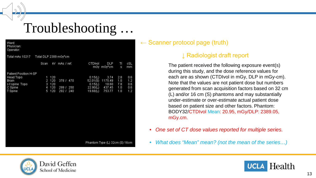

### Troubleshooting …

| Ward:<br>Physician:<br>Operator: |                       |               |          |                                |         |           |
|----------------------------------|-----------------------|---------------|----------|--------------------------------|---------|-----------|
| Total mAs 10217                  | Total DLP 2389 mGy*cm |               |          |                                |         |           |
|                                  | Scan                  | KV mAs / ref. | CTDIvol  | <b>DLP</b><br>mGy mGy*cm       | TI<br>s | cSL<br>mm |
| Patient Position H-SP            |                       |               |          |                                |         |           |
| Head Topo                        | 120<br>1              |               | 0.15(L)  | 3:74                           | 2.8     | 0.6       |
| <b>Brain</b>                     | $\overline{2}$<br>120 | 378 / 470     | 52.01(S) | 1175.49                        | 1.0     | 1.2       |
| c-t spine Topo                   | 3<br>120              |               | 0.15(L)  | 18.60                          | 7.8     | 0.6       |
| C Spine                          | 4<br>120              | 299 / 250     | 22.90(L) | 437.45                         | 1.0     | 0.6       |
| T Spine                          | 120<br>5              | 292 / 240     | 19.68(L) | 753.77                         | 1.0     | 1.2       |
|                                  |                       |               |          |                                |         |           |
|                                  |                       |               |          | Phantom Type (L) 32cm (S) 16cm |         |           |

#### $\leftarrow$  Scanner protocol page (truth)

#### ↓ Radiologist draft report

The patient received the following exposure event(s) during this study, and the dose reference values for each are as shown (CTDIvol in mGy, DLP in mGy-cm). Note that the values are not patient dose but numbers generated from scan acquisition factors based on 32 cm (L) and/or 16 cm (S) phantoms and may substantially under-estimate or over-estimate actual patient dose based on patient size and other factors. Phantom: BODY32/CTDIvol Mean: 20.95, mGy/DLP: 2389.05, mGy.cm.

- *One set of CT dose values reported for multiple series.*
- *What does "Mean" mean? (not the mean of the series…)*



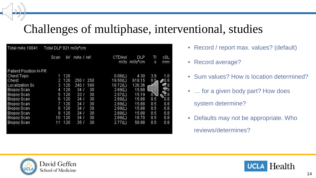### Challenges of multiphase, interventional, studies

| Total mAs 10041        | Total DLP 921 mGy*cm |     |                 |     |                |               |             |                           |
|------------------------|----------------------|-----|-----------------|-----|----------------|---------------|-------------|---------------------------|
|                        | Scan                 | KV  | mAs / ref.      |     | CTDIvol<br>mGy | DLP<br>mGy*cm | TI<br>s     | cSL<br>mm                 |
| Patient Position H-PR  |                      |     |                 |     |                |               |             |                           |
| Chest Topo             | 1                    | 120 |                 |     | 0.08(L)        | 4.30          | 3.9         | 1.0                       |
| Chest                  | 2                    | 120 | 250 /           | 250 | 19.50(L)       | 618.15        | $0.5 -$     | $\mathcal{O}^{0.8}$       |
| <b>Localization Sc</b> | 3                    | 120 | 240<br>ŋ        | 180 | 18.72(L)       | 126.36        | c           | 9.8                       |
| <b>Biopsy Scan</b>     | 4                    | 120 | 34 /            | 30  | 2.69(L)        | 15.88         | _0.5        | $\overline{\mathbb{E}}$ 8 |
| <b>Biopsy Scan</b>     | 5                    | 120 | 33 /            | 30. | 2.57(L)        | 15.19         | $0\text{N}$ | $\mathbb{F}_3$            |
| <b>Biopsy Scan</b>     | 6                    | 120 | 34 J            | 30  | 2.69(L)        | 15.88         | 0.5         | 0.8.                      |
| <b>Biopsy Scan</b>     | N                    | 120 | 34.7            | 30  | 2.69(L)        | 15.88         | 0.5         | 0.8                       |
| <b>Biopsy Scan</b>     | 8                    | 120 | 34 I            | 30. | 2.69(L)        | 15.88         | 0.5         | 0.8                       |
| <b>Biopsy Scan</b>     | 9                    | 120 | 34 <sub>1</sub> | 30  | 2.69(L)        | 15.88         | 0.5         | 0.8                       |
| <b>Biopsy Scan</b>     | 10                   | 120 | 34/             | 30  | 2.69(L)        | 18.70         | 0.5         | 0.8                       |
| <b>Biopsy Scan</b>     | 11                   | 120 | 35.<br>IJ       | 30  | 2.77(L)        | 58.98         | 0.5         | 0.8                       |
|                        |                      |     |                 |     |                |               |             |                           |

- Record / report max. values? (default)
- Record average?
- Sum values? How is location determined?

• ... for a given body part? How does

system determine?

• Defaults may not be appropriate. Who

reviews/determines?



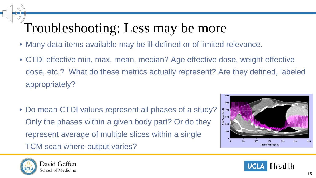## Troubleshooting: Less may be more

- Many data items available may be ill-defined or of limited relevance.
- CTDI effective min, max, mean, median? Age effective dose, weight effective dose, etc.? What do these metrics actually represent? Are they defined, labeled appropriately?
- Do mean CTDI values represent all phases of a study? Only the phases within a given body part? Or do they represent average of multiple slices within a single TCM scan where output varies?





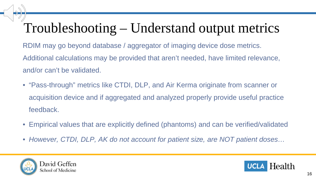### Troubleshooting – Understand output metrics

RDIM may go beyond database / aggregator of imaging device dose metrics. Additional calculations may be provided that aren't needed, have limited relevance, and/or can't be validated.

- "Pass-through" metrics like CTDI, DLP, and Air Kerma originate from scanner or acquisition device and if aggregated and analyzed properly provide useful practice feedback.
- Empirical values that are explicitly defined (phantoms) and can be verified/validated
- *However, CTDI, DLP, AK do not account for patient size, are NOT patient doses…*



 $\rightarrow$ 

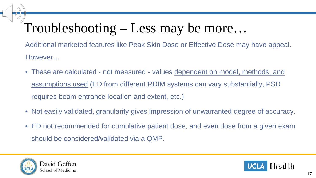### Troubleshooting – Less may be more…

Additional marketed features like Peak Skin Dose or Effective Dose may have appeal. However…

- These are calculated not measured values dependent on model, methods, and assumptions used (ED from different RDIM systems can vary substantially, PSD requires beam entrance location and extent, etc.)
- Not easily validated, granularity gives impression of unwarranted degree of accuracy.
- ED not recommended for cumulative patient dose, and even dose from a given exam should be considered/validated via a QMP.



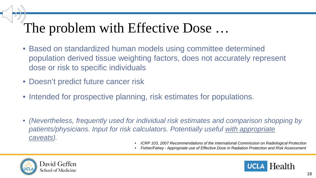### The problem with Effective Dose …

- Based on standardized human models using committee determined population derived tissue weighting factors, does not accurately represent dose or risk to specific individuals
- Doesn't predict future cancer risk
- Intended for prospective planning, risk estimates for populations.
- *(Nevertheless, frequently used for individual risk estimates and comparison shopping by patients/physicians. Input for risk calculators. Potentially useful with appropriate caveats).*
	- *ICRP 103, 2007 Recommendations of the International Commission on Radiological Protection*
	- *Fisher/Fahey - Appropriate use of Effective Dose in Radiation Protection and Risk Assessment*



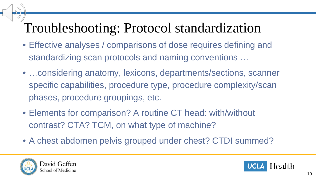### Troubleshooting: Protocol standardization

- Effective analyses / comparisons of dose requires defining and standardizing scan protocols and naming conventions …
- …considering anatomy, lexicons, departments/sections, scanner specific capabilities, procedure type, procedure complexity/scan phases, procedure groupings, etc.
- Elements for comparison? A routine CT head: with/without contrast? CTA? TCM, on what type of machine?
- A chest abdomen pelvis grouped under chest? CTDI summed?



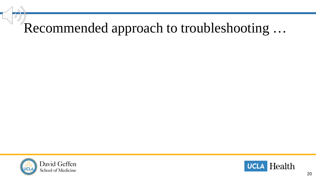# Recommended approach to troubleshooting ...



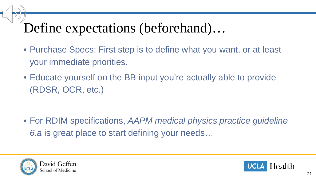### Define expectations (beforehand)…

- Purchase Specs: First step is to define what you want, or at least your immediate priorities.
- Educate yourself on the BB input you're actually able to provide (RDSR, OCR, etc.)

• For RDIM specifications, *AAPM medical physics practice guideline 6.a* is great place to start defining your needs…



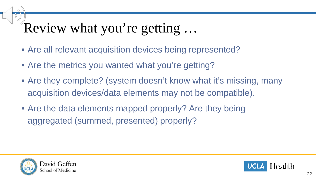### Review what you're getting …

- Are all relevant acquisition devices being represented?
- Are the metrics you wanted what you're getting?
- Are they complete? (system doesn't know what it's missing, many acquisition devices/data elements may not be compatible).
- Are the data elements mapped properly? Are they being aggregated (summed, presented) properly?



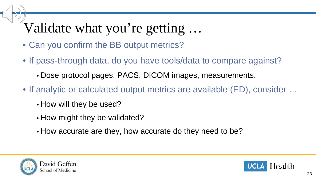# Validate what you're getting …

- Can you confirm the BB output metrics?
- If pass-through data, do you have tools/data to compare against?
	- Dose protocol pages, PACS, DICOM images, measurements.
- If analytic or calculated output metrics are available (ED), consider …
	- How will they be used?
	- How might they be validated?
	- How accurate are they, how accurate do they need to be?



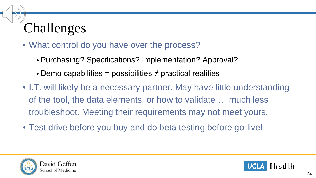# Challenges

- What control do you have over the process?
	- Purchasing? Specifications? Implementation? Approval?
	- Demo capabilities = possibilities  $\neq$  practical realities
- I.T. will likely be a necessary partner. May have little understanding of the tool, the data elements, or how to validate … much less troubleshoot. Meeting their requirements may not meet yours.
- Test drive before you buy and do beta testing before go-live!